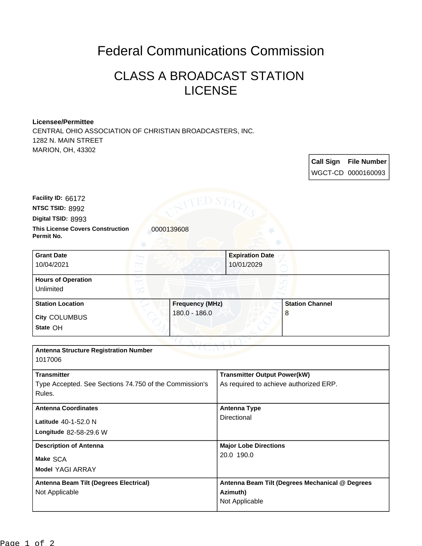## Federal Communications Commission

## CLASS A BROADCAST STATION LICENSE

## **Licensee/Permittee**

CENTRAL OHIO ASSOCIATION OF CHRISTIAN BROADCASTERS, INC. 1282 N. MAIN STREET MARION, OH, 43302

> **Call Sign File Number** WGCT-CD 0000160093

**Digital TSID:** 8993 **NTSC TSID:** 8992 **Facility ID:** 66172

**Permit No.**

**This License Covers Construction 10000139608** 

| <b>Grant Date</b><br>10/04/2021        | 10/01/2029             | <b>Expiration Date</b> |
|----------------------------------------|------------------------|------------------------|
| <b>Hours of Operation</b><br>Unlimited |                        |                        |
| <b>Station Location</b>                | <b>Frequency (MHz)</b> | <b>Station Channel</b> |
| City COLUMBUS<br>State OH              | 180.0 - 186.0          | 8                      |

| <b>Antenna Structure Registration Number</b><br>1017006          |                                                 |  |  |  |
|------------------------------------------------------------------|-------------------------------------------------|--|--|--|
| <b>Transmitter</b>                                               | <b>Transmitter Output Power(kW)</b>             |  |  |  |
| Type Accepted. See Sections 74.750 of the Commission's<br>Rules. | As required to achieve authorized ERP.          |  |  |  |
| <b>Antenna Coordinates</b>                                       | <b>Antenna Type</b>                             |  |  |  |
| Latitude 40-1-52.0 N                                             | Directional                                     |  |  |  |
| Longitude 82-58-29.6 W                                           |                                                 |  |  |  |
| <b>Description of Antenna</b>                                    | <b>Major Lobe Directions</b>                    |  |  |  |
| Make SCA                                                         | 20.0 190.0                                      |  |  |  |
| <b>Model YAGI ARRAY</b>                                          |                                                 |  |  |  |
| Antenna Beam Tilt (Degrees Electrical)                           | Antenna Beam Tilt (Degrees Mechanical @ Degrees |  |  |  |
| Not Applicable                                                   | Azimuth)                                        |  |  |  |
|                                                                  | Not Applicable                                  |  |  |  |